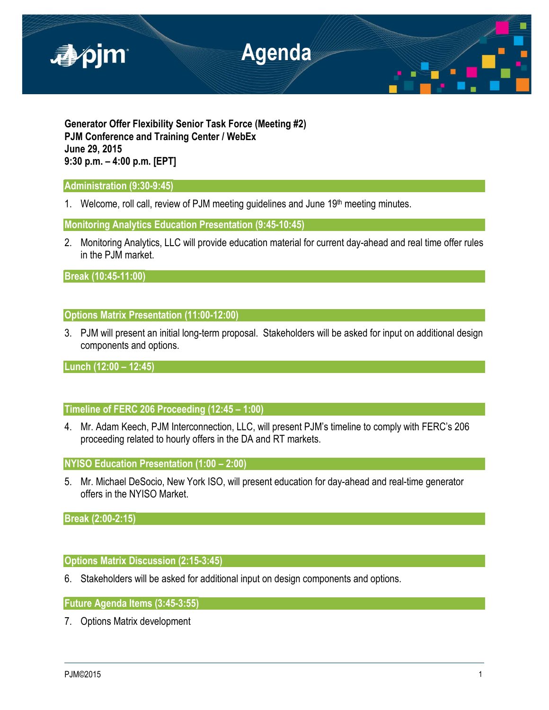

**Generator Offer Flexibility Senior Task Force (Meeting #2) PJM Conference and Training Center / WebEx June 29, 2015 9:30 p.m. – 4:00 p.m. [EPT]**

## **Administration (9:30-9:45)**

1. Welcome, roll call, review of PJM meeting guidelines and June 19th meeting minutes.

**Monitoring Analytics Education Presentation (9:45-10:45)** 

2. Monitoring Analytics, LLC will provide education material for current day-ahead and real time offer rules in the PJM market.

**Break (10:45-11:00)** 

# **Options Matrix Presentation (11:00-12:00)**

3. PJM will present an initial long-term proposal. Stakeholders will be asked for input on additional design components and options.

**Lunch (12:00 – 12:45)**

**Timeline of FERC 206 Proceeding (12:45 – 1:00)**

4. Mr. Adam Keech, PJM Interconnection, LLC, will present PJM's timeline to comply with FERC's 206 proceeding related to hourly offers in the DA and RT markets.

**NYISO Education Presentation (1:00 – 2:00)**

5. Mr. Michael DeSocio, New York ISO, will present education for day-ahead and real-time generator offers in the NYISO Market.

**Break (2:00-2:15)**

### **Options Matrix Discussion (2:15-3:45)**

6. Stakeholders will be asked for additional input on design components and options.

**Future Agenda Items (3:45-3:55)**

7. Options Matrix development